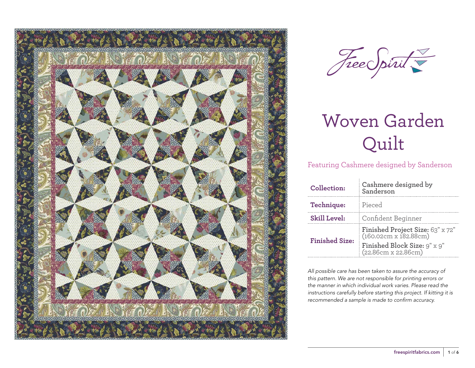



Featuring Cashmere designed by Sanderson

| Collection:           | Cashmere designed by<br>Sanderson                                                                                |  |  |  |
|-----------------------|------------------------------------------------------------------------------------------------------------------|--|--|--|
| Technique:            | Pieced                                                                                                           |  |  |  |
| <b>Skill Level:</b>   | Confident Beginner                                                                                               |  |  |  |
| <b>Finished Size:</b> | Finished Project Size: 63" x 72"<br>(160.02cm x 182.88cm)<br>Finished Block Size: 9" x 9"<br>(22.86cm x 22.86cm) |  |  |  |

*All possible care has been taken to assure the accuracy of this pattern. We are not responsible for printing errors or the manner in which individual work varies. Please read the instructions carefully before starting this project. If kitting it is recommended a sample is made to confirm accuracy.*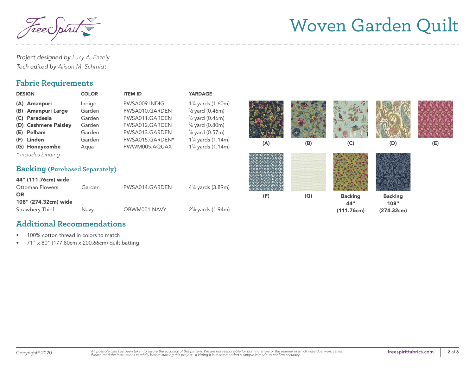reec

*Project designed by Lucy A. Fazely Tech edited by Alison M. Schmidt*

#### **Fabric Requirements**

| <b>DESIGN</b>                                                                                                             | <b>COLOR</b>                                                     | <b>ITEM ID</b>                                                                                                            | <b>YARDAGE</b>                                                                                                                                                                                                                                                    |     |     |                                     |                                      |     |
|---------------------------------------------------------------------------------------------------------------------------|------------------------------------------------------------------|---------------------------------------------------------------------------------------------------------------------------|-------------------------------------------------------------------------------------------------------------------------------------------------------------------------------------------------------------------------------------------------------------------|-----|-----|-------------------------------------|--------------------------------------|-----|
| (A) Amanpuri<br>(B) Amanpuri Large<br>(C) Paradesia<br>(D) Cashmere Paisley<br>(E) Pelham<br>(F) Linden<br>(G) Honeycombe | Indigo<br>Garden<br>Garden<br>Garden<br>Garden<br>Garden<br>Aqua | PWSA009.INDIG<br>PWSA010.GARDEN<br>PWSA011.GARDEN<br>PWSA012.GARDEN<br>PWSA013.GARDEN<br>PWSA015.GARDEN*<br>PWWM005.AQUAX | 1 <sup>3</sup> / <sub>4</sub> yards (1.60m)<br>$\frac{1}{2}$ yard (0.46m)<br>$\frac{1}{2}$ yard (0.46m)<br>$\frac{7}{8}$ yard (0.80m)<br>$\frac{5}{8}$ yard (0.57m)<br>1 <sup>1</sup> / <sub>4</sub> yards (1.14m)<br>1 <sup>1</sup> / <sub>4</sub> yards (1.14m) | (A) | (B) | (C)                                 | (D)                                  | (E) |
| * includes binding<br><b>Backing (Purchased Separately)</b>                                                               |                                                                  |                                                                                                                           |                                                                                                                                                                                                                                                                   |     |     |                                     |                                      |     |
| 44" (111.76cm) wide<br><b>Ottoman Flowers</b>                                                                             | Garden                                                           | PWSA014.GARDEN                                                                                                            | $4\frac{1}{4}$ yards (3.89m)                                                                                                                                                                                                                                      |     |     |                                     |                                      |     |
| <b>OR</b><br>108" (274.32cm) wide<br>Strawbery Thief                                                                      | Navy                                                             | QBWM001.NAVY                                                                                                              | $2\frac{1}{8}$ yards (1.94m)                                                                                                                                                                                                                                      | (F) | (G) | <b>Backing</b><br>44"<br>(111.76cm) | <b>Backing</b><br>108"<br>(274.32cm) |     |

#### **Additional Recommendations**

- 100% cotton thread in colors to match
- 71" x 80" (177.80cm x 200.66cm) quilt batting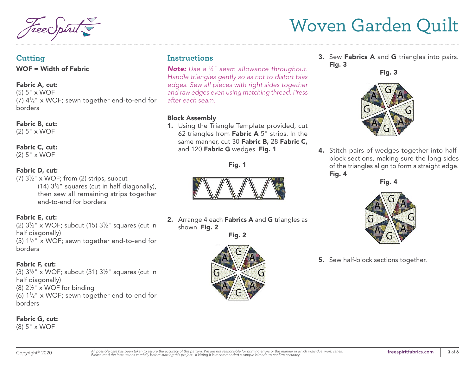#### **Cutting**

WOF = Width of Fabric

#### Fabric A, cut:

(5) 5" x WOF (7)  $4\frac{1}{2}$ " x WOF; sewn together end-to-end for borders

## Fabric B, cut:

(2) 5" x WOF

## Fabric C, cut:

(2) 5" x WOF

#### Fabric D, cut:

(7)  $3\frac{1}{2}$ " x WOF; from (2) strips, subcut (14)  $3\frac{1}{2}$ " squares (cut in half diagonally), then sew all remaining strips together end-to-end for borders

#### Fabric E, cut:

(2)  $3\frac{1}{2}$ " x WOF; subcut (15)  $3\frac{1}{2}$ " squares (cut in half diagonally) (5)  $1\frac{1}{2}$ " x WOF; sewn together end-to-end for borders

#### Fabric F, cut:

(3)  $3\frac{1}{2}$ " x WOF; subcut (31)  $3\frac{1}{2}$ " squares (cut in half diagonally) (8)  $2\frac{1}{2}$ " x WOF for binding (6)  $1\frac{1}{2}$ " x WOF; sewn together end-to-end for borders

#### Fabric G, cut:

(8) 5" x WOF

### **Instructions**

*Note: Use a 1 ⁄4" seam allowance throughout. Handle triangles gently so as not to distort bias edges. Sew all pieces with right sides together and raw edges even using matching thread. Press after each seam.*

#### Block Assembly

1. Using the Triangle Template provided, cut 62 triangles from Fabric  $A 5$ " strips. In the same manner, cut 30 Fabric B, 28 Fabric C, and 120 Fabric G wedges. Fig. 1





2. Arrange 4 each Fabrics A and G triangles as shown. Fig. 2

Fig. 2



3. Sew Fabrics A and G triangles into pairs. Fig. 3

Fig. 3



4. Stitch pairs of wedges together into halfblock sections, making sure the long sides of the triangles align to form a straight edge. Fig. 4

Fig. 4



**5.** Sew half-block sections together.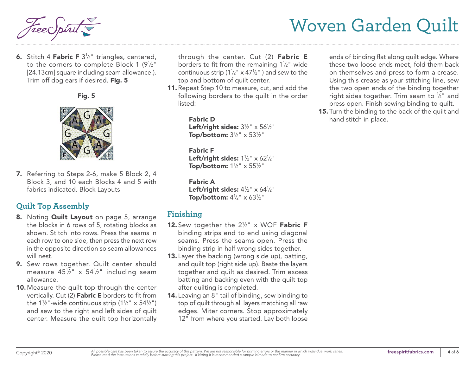**6.** Stitch 4 **Fabric F**  $3\frac{1}{2}$ " triangles, centered, to the corners to complete Block 1 (9½") [24.13cm] square including seam allowance.). Trim off dog ears if desired. Fig. 5





7. Referring to Steps 2-6, make 5 Block 2, 4 Block 3, and 10 each Blocks 4 and 5 with fabrics indicated. Block Layouts

### **Quilt Top Assembly**

- 8. Noting **Quilt Layout** on page 5, arrange the blocks in 6 rows of 5, rotating blocks as shown. Stitch into rows. Press the seams in each row to one side, then press the next row in the opposite direction so seam allowances will nest.
- 9. Sew rows together. Quilt center should measure 45½" x 54½" including seam allowance.
- 10. Measure the quilt top through the center vertically. Cut (2) Fabric E borders to fit from the 1½"-wide continuous strip (1½" x 54½") and sew to the right and left sides of quilt center. Measure the quilt top horizontally

through the center. Cut (2) Fabric E borders to fit from the remaining 1½"-wide continuous strip (1½"  $\times$  47½") and sew to the top and bottom of quilt center.

11. Repeat Step 10 to measure, cut, and add the following borders to the quilt in the order listed:

> Fabric D Left/right sides:  $3\frac{1}{2}$ " x  $56\frac{1}{2}$ " Top/bottom:  $3\frac{1}{2}$ " x  $53\frac{1}{2}$ "

> Fabric F Left/right sides:  $1\frac{1}{2}$ " x 62 $\frac{1}{2}$ " Top/bottom:  $1\frac{1}{2}$ " x  $55\frac{1}{2}$ "

Fabric A Left/right sides:  $4\frac{1}{2}$ " x 64 $\frac{1}{2}$ " Top/bottom:  $4\frac{1}{2}$ " x 63 $\frac{1}{2}$ "

### **Finishing**

- **12.** Sew together the  $2\frac{1}{2}$ " x WOF **Fabric F** binding strips end to end using diagonal seams. Press the seams open. Press the binding strip in half wrong sides together.
- 13. Layer the backing (wrong side up), batting, and quilt top (right side up). Baste the layers together and quilt as desired. Trim excess batting and backing even with the quilt top after quilting is completed.
- 14. Leaving an 8" tail of binding, sew binding to top of quilt through all layers matching all raw edges. Miter corners. Stop approximately 12" from where you started. Lay both loose

ends of binding flat along quilt edge. Where these two loose ends meet, fold them back on themselves and press to form a crease. Using this crease as your stitching line, sew the two open ends of the binding together right sides together. Trim seam to  $\frac{1}{4}$ " and press open. Finish sewing binding to quilt.

15. Turn the binding to the back of the quilt and hand stitch in place.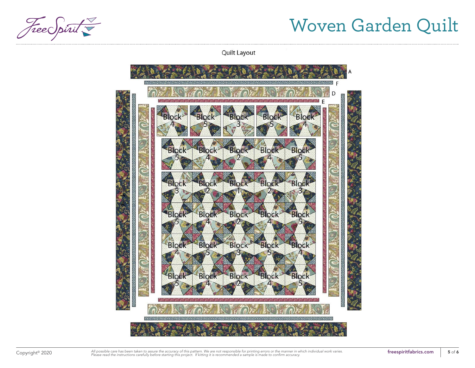Free Spirit

**Quilt Layout** 



Copyright<sup>®</sup> 2020 *All* possible care has been taken to assure the accuracy of this pattern. We are not responsible for printing errors or the manner in which individual work varies. **Freespiritfabrics.com freespiritfabr**